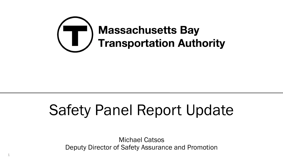

# Safety Panel Report Update

Michael Catsos Deputy Director of Safety Assurance and Promotion

1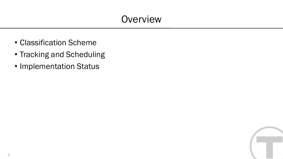# **Overview**

- Classification Scheme
- Tracking and Scheduling
- Implementation Status

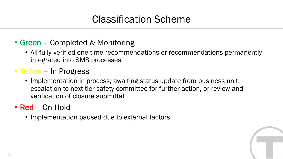# Classification Scheme

- Green Completed & Monitoring
	- All fully-verified one-time recommendations or recommendations permanently integrated into SMS processes
- Yellow In Progress
	- Implementation in process; awaiting status update from business unit, escalation to next-tier safety committee for further action, or review and verification of closure submittal
- Red On Hold
	- Implementation paused due to external factors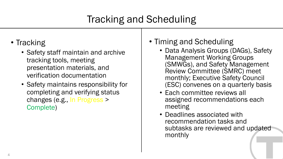# Tracking and Scheduling

- Tracking
	- Safety staff maintain and archive tracking tools, meeting presentation materials, and verification documentation
	- Safety maintains responsibility for completing and verifying status changes (e.g., In Progress > Complete)

#### • Timing and Scheduling

- Data Analysis Groups (DAGs), Safety Management Working Groups (SMWGs), and Safety Management Review Committee (SMRC) meet monthly; Executive Safety Council (ESC) convenes on a quarterly basis
- Each committee reviews all assigned recommendations each meeting
- Deadlines associated with recommendation tasks and subtasks are reviewed and updated monthly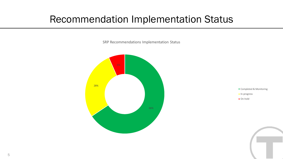### Recommendation Implementation Status

SRP Recommendations Implementation Status





- **In-progress**
- On-hold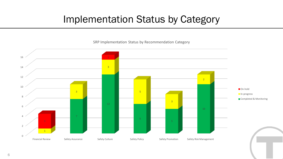#### Implementation Status by Category

SRP Implementation Status by Recommendation Category

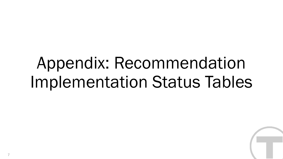# Appendix: Recommendation Implementation Status Tables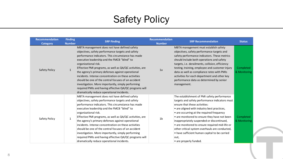| <b>Recommendation</b><br><b>Category</b> | <b>Finding</b><br><b>Number</b> | <b>SRP Finding</b>                                                                                                                                                                                                                                                                                                                                                                                                                                                                                                                                                                                                            | <b>Recommendation</b><br><b>Number</b> | <b>SRP Recommendation</b>                                                                                                                                                                                                                                                                                                                                                                                                                                                                                       | <b>Status</b>             |
|------------------------------------------|---------------------------------|-------------------------------------------------------------------------------------------------------------------------------------------------------------------------------------------------------------------------------------------------------------------------------------------------------------------------------------------------------------------------------------------------------------------------------------------------------------------------------------------------------------------------------------------------------------------------------------------------------------------------------|----------------------------------------|-----------------------------------------------------------------------------------------------------------------------------------------------------------------------------------------------------------------------------------------------------------------------------------------------------------------------------------------------------------------------------------------------------------------------------------------------------------------------------------------------------------------|---------------------------|
| Safety Policy                            | $\mathbf{1}$                    | MBTA management does not have defined safety<br>objectives, safety performance targets and safety<br>performance indicators. This circumstance has made<br>executive leadership and the FMCB "blind" to<br>organizational risk.<br>Effective PMI programs, as well as QA/QC activities, are<br>the agency's primary defenses against operational<br>incidents. Intense concentration on these activities<br>should be one of the central focuses of an accident<br>investigation. More importantly, simply performing<br>required PMIs and having effective QA/QC programs will<br>dramatically reduce operational incidents. | 1a                                     | MBTA management must establish safety<br>objectives, safety performance targets and<br>safety performance indicators. These metrics<br>should include both operations and safety<br>targets, i.e. derailments, collision, efficiency<br>testing, training, employee and customer injury<br>data as well as compliance rates with PMIs<br>activities for each department and other key<br>performance data as determined by senior<br>management.                                                                | Completed<br>& Monitoring |
| Safety Policy                            | $\mathbf{1}$                    | MBTA management does not have defined safety<br>objectives, safety performance targets and safety<br>performance indicators. This circumstance has made<br>executive leadership and the FMCB "blind" to<br>organizational risk.<br>Effective PMI programs, as well as QA/QC activities, are<br>the agency's primary defenses against operational<br>incidents. Intense concentration on these activities<br>should be one of the central focuses of an accident<br>investigation. More importantly, simply performing<br>required PMIs and having effective QA/QC programs will<br>dramatically reduce operational incidents. | 1 <sub>b</sub>                         | The establishment of PMI safety performance<br>targets and safety performance indicators must<br>ensure that these activities:<br>• are aligned with industry best practices,<br>• are occurring at the required frequency<br>• are monitored to ensure they have not been<br>inappropriately suspended or discontinued,<br>• are monitored to ensure required mid-life or<br>other critical system overhauls are conducted,<br>• have sufficient human capital to be carried<br>out,<br>• are properly funded. | Completed<br>& Monitoring |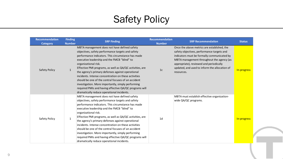| <b>Recommendation</b><br><b>Category</b> | <b>Finding</b><br><b>Number</b> | <b>SRP Finding</b>                                                                                                                                                                                                                                                                                                                                                                                                                                                                                                                                                                                                            | <b>Recommendation</b><br><b>Number</b> | <b>SRP Recommendation</b>                                                                                                                                                                                                                                                                       | <b>Status</b> |
|------------------------------------------|---------------------------------|-------------------------------------------------------------------------------------------------------------------------------------------------------------------------------------------------------------------------------------------------------------------------------------------------------------------------------------------------------------------------------------------------------------------------------------------------------------------------------------------------------------------------------------------------------------------------------------------------------------------------------|----------------------------------------|-------------------------------------------------------------------------------------------------------------------------------------------------------------------------------------------------------------------------------------------------------------------------------------------------|---------------|
| <b>Safety Policy</b>                     | $\mathbf{1}$                    | MBTA management does not have defined safety<br>objectives, safety performance targets and safety<br>performance indicators. This circumstance has made<br>executive leadership and the FMCB "blind" to<br>organizational risk.<br>Effective PMI programs, as well as QA/QC activities, are<br>the agency's primary defenses against operational<br>incidents. Intense concentration on these activities<br>should be one of the central focuses of an accident<br>investigation. More importantly, simply performing<br>required PMIs and having effective QA/QC programs will<br>dramatically reduce operational incidents. | 1 <sub>c</sub>                         | Once the above metrics are established, the<br>safety objectives, performance targets and<br>indicators must be formally communicated by<br>MBTA management throughout the agency (as<br>appropriate), reviewed and periodically<br>updated, and used to inform the allocation of<br>resources. | In-progress   |
| Safety Policy                            | $\mathbf{1}$                    | MBTA management does not have defined safety<br>objectives, safety performance targets and safety<br>performance indicators. This circumstance has made<br>executive leadership and the FMCB "blind" to<br>organizational risk.<br>Effective PMI programs, as well as QA/QC activities, are<br>the agency's primary defenses against operational<br>incidents. Intense concentration on these activities<br>should be one of the central focuses of an accident<br>investigation. More importantly, simply performing<br>required PMIs and having effective QA/QC programs will<br>dramatically reduce operational incidents. | 1 <sub>d</sub>                         | MBTA must establish effective organization-<br>wide QA/QC programs.                                                                                                                                                                                                                             | In-progress   |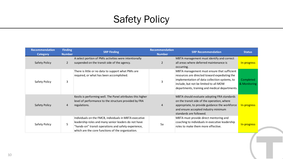| <b>Recommendation</b><br><b>Category</b> | <b>Finding</b><br><b>Number</b> | <b>SRP Finding</b>                                                                                                                                                                                                          | <b>Recommendation</b><br><b>Number</b> | <b>SRP Recommendation</b>                                                                                                                                                                                                                 | <b>Status</b>             |
|------------------------------------------|---------------------------------|-----------------------------------------------------------------------------------------------------------------------------------------------------------------------------------------------------------------------------|----------------------------------------|-------------------------------------------------------------------------------------------------------------------------------------------------------------------------------------------------------------------------------------------|---------------------------|
| Safety Policy                            | $\overline{2}$                  | A select portion of PMIs activities were intentionally<br>suspended on the transit side of the agency.                                                                                                                      | $\overline{2}$                         | MBTA management must identify and correct<br>all areas where deferred maintenance is<br>occurring.                                                                                                                                        | In-progress               |
| Safety Policy                            | 3                               | There is little or no data to support what PMIs are<br>required, or what has been accomplished.                                                                                                                             | 3                                      | MBTA management must ensure that sufficient<br>resources are directed toward expediating the<br>implementation of data collection systems, to<br>include, but not be limited to all MOW<br>departments, training and medical departments. | Completed<br>& Monitoring |
| Safety Policy                            | 4                               | Keolis is performing well. The Panel attributes this higher<br>level of performance to the structure provided by FRA<br>regulations.                                                                                        | 4                                      | MBTA should evaluate adopting FRA standards<br>on the transit side of the operation, where<br>appropriate, to provide guidance the workforce<br>and ensure accepted industry minimum<br>standards are followed.                           | In-progress               |
| Safety Policy                            | 5                               | Individuals on the FMCB, individuals in MBTA executive<br>leadership roles and many senior leaders do not have<br>"hands-on" transit operations and safety experience,<br>which are the core functions of the organization. | 5a                                     | MBTA must provide direct mentoring and<br>coaching to individuals in executive leadership<br>roles to make them more effective.                                                                                                           | In-progress               |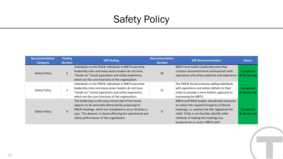| <b>Recommendation</b><br>Category | <b>Finding</b><br><b>Number</b> | <b>SRP Finding</b>                                                                                                                                                                                                                                                              | <b>Recommendation</b><br><b>Number</b> | <b>SRP Recommendation</b>                                                                                                                                                                                                                                                | <b>Status</b>             |
|-----------------------------------|---------------------------------|---------------------------------------------------------------------------------------------------------------------------------------------------------------------------------------------------------------------------------------------------------------------------------|----------------------------------------|--------------------------------------------------------------------------------------------------------------------------------------------------------------------------------------------------------------------------------------------------------------------------|---------------------------|
| <b>Safety Policy</b>              | 5                               | Individuals on the FMCB, individuals in MBTA executive<br>leadership roles and many senior leaders do not have<br>"hands-on" transit operations and safety experience,<br>which are the core functions of the organization.                                                     | 5 <sub>b</sub>                         | MBTA must build a leadership team that<br>contains seasoned transit professionals with<br>operations and safety expertise and experience.                                                                                                                                | Completed<br>& Monitoring |
| Safety Policy                     | 5                               | Individuals on the FMCB, individuals in MBTA executive<br>leadership roles and many senior leaders do not have<br>"hands-on" transit operations and safety experience,<br>which are the core functions of the organization.                                                     | 5c                                     | The FMCB should evaluate adding individuals<br>with operations and safety skillsets to their<br>ranks to provide a more holistic approach to<br>overseeing the MBTA.                                                                                                     | Completed<br>& Monitoring |
| <b>Safety Policy</b>              | 6                               | The leadership on the mass transit side of the house,<br>appears to be extremely distracted by preparing for<br>FMCB meetings, which are mandated to occur 36 times a<br>year. This dynamic is clearly affecting the operational and<br>safety performance of the organization. | ь                                      | MBTA and FMCB leaders should take measures<br>to reduce the required frequency of Board<br>meetings, i.e. petition the MA. legislature for<br>relief. If this is not feasible, identify other<br>methods of making the meetings less<br>burdensome on senior MBTA staff. | Completed<br>& Monitoring |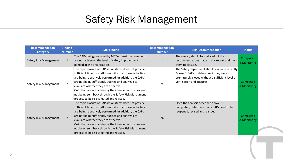| <b>Recommendation</b><br><b>Category</b> | <b>Finding</b><br><b>Number</b> | <b>SRP Finding</b>                                                                                                                                                                                                                                                                                                                                                                                                                         | <b>Recommendation</b><br><b>Number</b> | <b>SRP Recommendation</b>                                                                                                                                                   | <b>Status</b>             |
|------------------------------------------|---------------------------------|--------------------------------------------------------------------------------------------------------------------------------------------------------------------------------------------------------------------------------------------------------------------------------------------------------------------------------------------------------------------------------------------------------------------------------------------|----------------------------------------|-----------------------------------------------------------------------------------------------------------------------------------------------------------------------------|---------------------------|
| Safety Risk Management                   |                                 | The CAPs being produced by MBTA transit management<br>are not achieving the level of safety improvement<br>needed at the organization.                                                                                                                                                                                                                                                                                                     |                                        | The agency should formally adopt the<br>recommendations made in this report and track<br>them to closure.                                                                   | Completed<br>& Monitoring |
| Safety Risk Management                   | $\overline{2}$                  | The rapid closure of CAP action items does not provide<br>sufficient time for staff to monitor that these activities<br>are being repetitively performed. In addition, the CAPs<br>are not being sufficiently audited and analyzed to<br>evaluate whether they are effective.<br>CAPs that are not achieving the intended outcomes are<br>not being sent back through the Safety Risk Managment<br>process to be re-evaluated and revised. | 2a                                     | The Safety department should evaluate recently<br>"closed" CAPs to determine if they were<br>prematurely closed without a sufficient level of<br>verification and auditing. | Completed<br>& Monitoring |
| Safety Risk Management                   | $\overline{2}$                  | The rapid closure of CAP action items does not provide<br>sufficient time for staff to monitor that these activities<br>are being repetitively performed. In addition, the CAPs<br>are not being sufficiently audited and analyzed to<br>evaluate whether they are effective.<br>CAPs that are not achieving the intended outcomes are<br>not being sent back through the Safety Risk Managment<br>process to be re-evaluated and revised. | 2 <sub>b</sub>                         | Once the analysis described above is<br>completed, determine if any CAPs need to be<br>reopened, revised and reissued.                                                      | Completed<br>& Monitoring |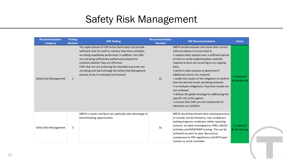| <b>Recommendation</b><br><b>Category</b> | <b>Finding</b><br><b>Number</b> | <b>SRP Finding</b>                                                                                                                                                                                                                                                                                                                                                                                                                         | Recommendation<br><b>Number</b> | <b>SRP Recommendation</b>                                                                                                                                                                                                                                                                                                                                                                                                                                                                                                                                                                                                                                           | <b>Status</b>             |
|------------------------------------------|---------------------------------|--------------------------------------------------------------------------------------------------------------------------------------------------------------------------------------------------------------------------------------------------------------------------------------------------------------------------------------------------------------------------------------------------------------------------------------------|---------------------------------|---------------------------------------------------------------------------------------------------------------------------------------------------------------------------------------------------------------------------------------------------------------------------------------------------------------------------------------------------------------------------------------------------------------------------------------------------------------------------------------------------------------------------------------------------------------------------------------------------------------------------------------------------------------------|---------------------------|
| Safety Risk Management                   | $\overline{2}$                  | The rapid closure of CAP action items does not provide<br>sufficient time for staff to monitor that these activities<br>are being repetitively performed. In addition, the CAPs<br>are not being sufficiently audited and analyzed to<br>evaluate whether they are effective.<br>CAPs that are not achieving the intended outcomes are<br>not being sent back through the Safety Risk Managment<br>process to be re-evaluated and revised. | 2c                              | MBTA should evaluate and revise their current<br>CAP procedures to ensure that it:<br>• requires data analysis over a sufficient period<br>of time to verify implementation and that<br>required actions are occurring on an ongoing<br>basis<br>• perform data analysis to determine if<br>additional actions are required<br>• audits the results of the mitigation to confirm<br>that the desired results are being achieved<br>• re-evaluate mitigations, if positive results are<br>not achieved<br>• defines the global strategy for addressing the<br>specific risk at the agency<br>• ensures that CAPs are not closed until all<br>elements are satisfied. | Completed<br>& Monitoring |
| Safety Risk Management                   | 3                               | MBTA is insular and does not optimally take advantage of<br>benchmarking opportunities.                                                                                                                                                                                                                                                                                                                                                    | 3a                              | MBTA should benchmark their existing practices<br>to include, but be limited to, rule compliance<br>testing programs, employee safety reporting<br>systems, accident investigations, PMIs, QA/QC<br>activities and ROW/RWP training. This can be<br>achieved via peer-to-peer discussions,<br>comparison to FRA regulations and APTA peer<br>reviews as some examples.                                                                                                                                                                                                                                                                                              | Completed<br>& Monitoring |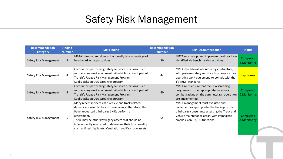| <b>Recommendation</b><br><b>Category</b> | <b>Finding</b><br><b>Number</b> | <b>SRP Finding</b>                                                                                                                                                                                                                                                                                                                                              | <b>Recommendation</b><br><b>Number</b> | <b>SRP Recommendation</b>                                                                                                                                                                                          | <b>Status</b>             |
|------------------------------------------|---------------------------------|-----------------------------------------------------------------------------------------------------------------------------------------------------------------------------------------------------------------------------------------------------------------------------------------------------------------------------------------------------------------|----------------------------------------|--------------------------------------------------------------------------------------------------------------------------------------------------------------------------------------------------------------------|---------------------------|
| Safety Risk Management                   | 3                               | MBTA is insular and does not optimally take advantage of<br>benchmarking opportunities.                                                                                                                                                                                                                                                                         | 3 <sub>b</sub>                         | MBTA must adopt and implement best practices<br>identified via benchmarking activities.                                                                                                                            | Completed<br>& Monitoring |
| Safety Risk Management                   | 4                               | Contractors performing safety sensitive functions, such<br>as operating work equipment rail vehicles, are not part of<br>Transit's Fatigue Risk Management Program.<br>Keolis lacks an OSA screening program.                                                                                                                                                   | 4a                                     | MBTA should evaluate requiring contractors,<br>who perform safety sensitive functions such as<br>operating work equipment, to comply with the<br>T's FRMP standards.                                               | In-progress               |
| Safety Risk Management                   | 4                               | Contractors performing safety sensitive functions, such<br>as operating work equipment rail vehicles, are not part of<br>Transit's Fatigue Risk Management Program.<br>Keolis lacks an OSA screening program.                                                                                                                                                   | 4 <sub>b</sub>                         | MBTA must ensure that the OSA screening<br>program and other appropriate measures to<br>combat fatigue on the commuter rail operation<br>are implemented.                                                          | Completed<br>& Monitoring |
| Safety Risk Management                   | 5                               | Many recent incidents had vehicle and track related<br>defects as causal factors in these events. Therefore, the<br>Panel requested third-party SMEs perform an<br>assessment.<br>There may be other key legacy assets that should be<br>independently evaluated to determine their functionality<br>such as Fire/Life/Safety, Ventilation and Drainage assets. | 5a                                     | MBTA management must evaluate and<br>implement as appropriate, the findings of the<br>third-party consultants assessing the Track and<br>Vehicle maintenance areas, with immediate<br>emphasis on QA/QC functions. | Completed<br>& Monitoring |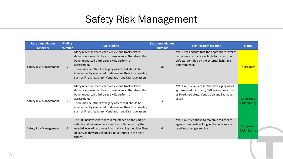| <b>Recommendation</b><br><b>Category</b> | <b>Finding</b><br><b>Number</b> | <b>SRP Finding</b>                                                                                                                                                                                                                                                                                                                                              | <b>Recommendation</b><br><b>Number</b> | <b>SRP Recommendation</b>                                                                                                                                        | <b>Status</b>             |
|------------------------------------------|---------------------------------|-----------------------------------------------------------------------------------------------------------------------------------------------------------------------------------------------------------------------------------------------------------------------------------------------------------------------------------------------------------------|----------------------------------------|------------------------------------------------------------------------------------------------------------------------------------------------------------------|---------------------------|
| Safety Risk Management                   | 5                               | Many recent incidents had vehicle and track related<br>defects as causal factors in these events. Therefore, the<br>Panel requested third-party SMEs perform an<br>assessment.<br>There may be other key legacy assets that should be<br>independently evaluated to determine their functionality<br>such as Fire/Life/Safety, Ventilation and Drainage assets. | 5 <sub>b</sub>                         | MBTA shall ensure that the appropriate level of<br>resources are made available to correct the<br>defects identified by the external SMEs in a<br>timely manner. | In-progress               |
| Safety Risk Management                   | 5                               | Many recent incidents had vehicle and track related<br>defects as causal factors in these events. Therefore, the<br>Panel requested third-party SMEs perform an<br>assessment.<br>There may be other key legacy assets that should be<br>independently evaluated to determine their functionality<br>such as Fire/Life/Safety, Ventilation and Drainage assets. | 5c                                     | MBTA must evaluate if other key legacy asset<br>system need third-party SME inspections, such<br>as Fire/Life/Safety, Ventilation and Drainage<br>assets.        | Completed<br>& Monitoring |
| Safety Risk Management                   | 6                               | The SRP believes that there is reluctance on the part of<br>vehicle maintenance personnel to continue putting the<br>needed level of resources into maintaining the older fleet<br>of cars, as they are scheduled to be retired in the near<br>future.                                                                                                          | 6                                      | MBTA must continue to maintain rail cars to<br>agency standards as long as the vehicles are<br>used in passenger service.                                        | Completed<br>& Monitoring |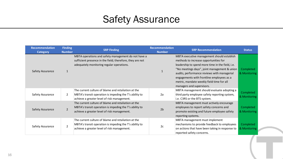| <b>Recommendation</b><br><b>Category</b> | <b>Finding</b><br><b>Number</b> | <b>SRP Finding</b>                                                                                                                                            | <b>Recommendation</b><br><b>Number</b> | <b>SRP Recommendation</b>                                                                                                                                                                                                                                                                                                                                     | <b>Status</b>             |
|------------------------------------------|---------------------------------|---------------------------------------------------------------------------------------------------------------------------------------------------------------|----------------------------------------|---------------------------------------------------------------------------------------------------------------------------------------------------------------------------------------------------------------------------------------------------------------------------------------------------------------------------------------------------------------|---------------------------|
| Safety Assurance                         |                                 | MBTA operations and safety management do not have a<br>sufficient presence in the field; therefore, they are not<br>adequately monitoring regular operations. |                                        | MBTA executive management should establish<br>methods to increase opportunities for<br>leadership to spend more time in the field, i.e.<br>"No meetings days", joint management & union<br>audits, performance reviews with managerial<br>engagements with frontline employees as a<br>metric, mandate weekly field time for all<br>managers and supervisors. | Completed<br>& Monitoring |
| Safety Assurance                         | $\overline{2}$                  | The current culture of blame and retaliation at the<br>MBTA's transit operation is impeding the T's ability to<br>achieve a greater level of risk management. | 2a                                     | MBTA management should evaluate adopting a<br>third party employee safety reporting system,<br>i.e. C3RS or the BTS system.                                                                                                                                                                                                                                   | Completed<br>& Monitoring |
| Safety Assurance                         | $\overline{2}$                  | The current culture of blame and retaliation at the<br>MBTA's transit operation is impeding the T's ability to<br>achieve a greater level of risk management. | 2 <sub>b</sub>                         | MBTA management must actively encourage<br>employees to report safety concerns and<br>promote existing and future employee safety<br>reporting systems.                                                                                                                                                                                                       | Completed<br>& Monitoring |
| Safety Assurance                         | $\overline{2}$                  | The current culture of blame and retaliation at the<br>MBTA's transit operation is impeding the T's ability to<br>achieve a greater level of risk management. | 2c                                     | MBTA management must implement<br>mechanisms to provide feedback to employees<br>on actions that have been taking in response to<br>reported safety concerns.                                                                                                                                                                                                 | Completed<br>& Monitoring |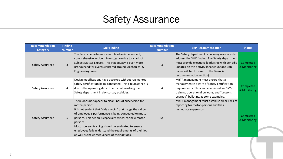| <b>Recommendation</b><br><b>Category</b> | <b>Finding</b><br><b>Number</b> | <b>SRP Finding</b>                                                                                                                                                                                                                                                                                                                                                                                                                               | <b>Recommendation</b><br><b>Number</b> | <b>SRP Recommendation</b>                                                                                                                                                                                                                                                   | <b>Status</b>             |
|------------------------------------------|---------------------------------|--------------------------------------------------------------------------------------------------------------------------------------------------------------------------------------------------------------------------------------------------------------------------------------------------------------------------------------------------------------------------------------------------------------------------------------------------|----------------------------------------|-----------------------------------------------------------------------------------------------------------------------------------------------------------------------------------------------------------------------------------------------------------------------------|---------------------------|
| Safety Assurance                         | $\overline{3}$                  | The Safety department cannot lead an independent,<br>comprehensive accident investigation due to a lack of<br>Subject Matter Experts. This inadequacy is even more<br>pronounced for events centered around Mechanical &<br>Engineering issues.                                                                                                                                                                                                  | 3                                      | The Safety department is pursuing resources to<br>address the SME finding. The Safety department<br>must provide executive leadership with periodic<br>updates on this activity (headcount and ZBB<br>issues will be discussed in the Financial<br>recommendation section). | Completed<br>& Monitoring |
| Safety Assurance                         | 4                               | Design modifications have occurred without regimented<br>safety certification being conducted. This circumstance is<br>due to the operating departments not involving the<br>Safety department in day-to-day activities.                                                                                                                                                                                                                         | 4                                      | MBTA management must ensure that all<br>management is aware of safety certification<br>requirements. This can be achieved via SMS<br>training, operational bulletins, and "Lessons<br>Learned" bulletins, as some examples.                                                 | Completed<br>& Monitoring |
| Safety Assurance                         | 5                               | There does not appear to clear lines of supervision for<br>motor-persons.<br>It is not evident that "ride checks" that gauge the caliber<br>of employee's performance is being conducted on motor-<br>persons. This action is especially critical for new motor-<br>persons.<br>Motor-person training should be evaluated to ensure<br>employees fully understand the requirements of their job<br>as well as the consequences of their actions. | 5a                                     | MBTA management must establish clear lines of<br>reporting for motor-persons and their<br>immediate supervisors.                                                                                                                                                            | Completed<br>& Monitoring |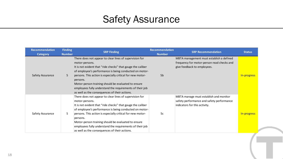| <b>Recommendation</b><br><b>Category</b> | <b>Finding</b><br><b>Number</b> | <b>SRP Finding</b>                                                                                                                                                                                                                                                                                                                                                                                                                               | <b>Recommendation</b><br><b>Number</b> | <b>SRP Recommendation</b>                                                                                             | <b>Status</b> |  |
|------------------------------------------|---------------------------------|--------------------------------------------------------------------------------------------------------------------------------------------------------------------------------------------------------------------------------------------------------------------------------------------------------------------------------------------------------------------------------------------------------------------------------------------------|----------------------------------------|-----------------------------------------------------------------------------------------------------------------------|---------------|--|
| Safety Assurance                         | 5 <sup>5</sup>                  | There does not appear to clear lines of supervision for<br>motor-persons.<br>It is not evident that "ride checks" that gauge the caliber<br>of employee's performance is being conducted on motor-<br>persons. This action is especially critical for new motor-<br>persons.<br>Motor-person training should be evaluated to ensure<br>employees fully understand the requirements of their job<br>as well as the consequences of their actions. | 5 <sub>b</sub>                         | MBTA management must establish a defined<br>frequency for motor-person read checks and<br>give feedback to employees. | In-progress   |  |
| Safety Assurance                         | 5                               | There does not appear to clear lines of supervision for<br>motor-persons.<br>It is not evident that "ride checks" that gauge the caliber<br>of employee's performance is being conducted on motor-<br>persons. This action is especially critical for new motor-<br>persons.<br>Motor-person training should be evaluated to ensure<br>employees fully understand the requirements of their job<br>as well as the consequences of their actions. | 5c                                     | MBTA manage must establish and monitor<br>safety performance and safety performance<br>indicators for this activity.  | In-progress   |  |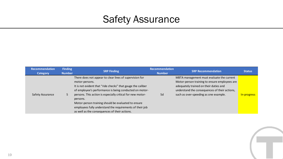| <b>Recommendation</b><br><b>Category</b> | <b>Finding</b><br><b>Number</b> | <b>SRP Finding</b>                                                                                                                                                                                                                                                                                                                                                                                                                               | <b>Recommendation</b><br><b>Number</b> | <b>SRP Recommendation</b>                                                                                                                                                                                                      | <b>Status</b> |
|------------------------------------------|---------------------------------|--------------------------------------------------------------------------------------------------------------------------------------------------------------------------------------------------------------------------------------------------------------------------------------------------------------------------------------------------------------------------------------------------------------------------------------------------|----------------------------------------|--------------------------------------------------------------------------------------------------------------------------------------------------------------------------------------------------------------------------------|---------------|
| Safety Assurance                         |                                 | There does not appear to clear lines of supervision for<br>motor-persons.<br>It is not evident that "ride checks" that gauge the caliber<br>of employee's performance is being conducted on motor-<br>persons. This action is especially critical for new motor-<br>persons.<br>Motor-person training should be evaluated to ensure<br>employees fully understand the requirements of their job<br>as well as the consequences of their actions. | 5d                                     | MBTA management must evaluate the current<br>Motor-person training to ensure employees are<br>adequately trained on their duties and<br>understand the consequences of their actions,<br>such as over-speeding as one example. | In-progress   |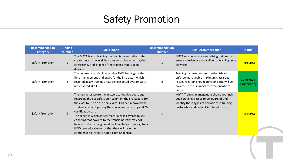# Safety Promotion

| <b>Recommendation</b><br><b>Category</b> | <b>Finding</b><br><b>Number</b> | <b>SRP Finding</b>                                                                                                                                                                                                                                                                                                                                                                                                                                                                                                                                  | <b>Recommendation</b><br><b>Number</b> | <b>SRP Recommendation</b>                                                                                                                                                               | <b>Status</b>             |
|------------------------------------------|---------------------------------|-----------------------------------------------------------------------------------------------------------------------------------------------------------------------------------------------------------------------------------------------------------------------------------------------------------------------------------------------------------------------------------------------------------------------------------------------------------------------------------------------------------------------------------------------------|----------------------------------------|-----------------------------------------------------------------------------------------------------------------------------------------------------------------------------------------|---------------------------|
| Safety Promotion                         | $\mathbf{1}$                    | The MBTA transit training function is decentralized which<br>creates internal oversight issues regarding assessing the<br>consistency and caliber of the training that is being<br>delivered.                                                                                                                                                                                                                                                                                                                                                       |                                        | MBTA must evaluate centralizing training to<br>ensure consistency and caliber of training being<br>delivered.                                                                           | In-progress               |
| Safety Promotion                         | $\overline{2}$                  | The volume of students attending RWP training created<br>time management challenges for the instructor, which<br>resulted in key training areas being glossed over or were<br>not covered at all.                                                                                                                                                                                                                                                                                                                                                   | $\overline{2}$                         | Training management must establish and<br>enforce manageable maximum class sizes<br>(issues regarding headcounts and ZBB will be<br>covered in the Financial recommendations<br>below). | Completed<br>& Monitoring |
| Safety Promotion                         | 3                               | The instructor wrote the answers to the five questions<br>regarding the bus safety curriculum on the chalkboard for<br>the class to use on the final exam. This act improved the<br>student's odds of passing the course and receiving a ROW<br>certification card.<br>The speed in which critical material was covered raises<br>concerns that novices to the transit industry may not<br>have absorbed enough working knowledge to recognize a<br>ROW procedural error or that they will have the<br>confidence to invoke a Good Faith Challenge. | 3                                      | MBTA Training management should routinely<br>audit training classes to be aware of and<br>identify these types of deviations in training<br>protocols and develop CAPs to address.      | In-progress               |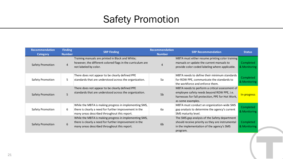# Safety Promotion

| <b>Recommendation</b><br>Category | <b>Finding</b><br><b>Number</b> | <b>SRP Finding</b>                                                                                                                                               | <b>Recommendation</b><br><b>Number</b> | <b>SRP Recommendation</b>                                                                                                                                             | <b>Status</b>             |
|-----------------------------------|---------------------------------|------------------------------------------------------------------------------------------------------------------------------------------------------------------|----------------------------------------|-----------------------------------------------------------------------------------------------------------------------------------------------------------------------|---------------------------|
| <b>Safety Promotion</b>           | $\overline{4}$                  | Training manuals are printed in Black and White;<br>however, the different colored flags in the curriculum are<br>not labeled by color.                          |                                        | MBTA must either resume printing color training<br>manuals or update the current manuals to<br>provide color coded labeling where applicable.                         | Completed<br>& Monitoring |
| Safety Promotion                  | 5                               | There does not appear to be clearly defined PPE<br>standards that are understood across the organization.                                                        | 5a                                     | MBTA needs to define their minimum standards<br>for ROW PPE, communicate the standards to<br>the workforce and enforce them.                                          | Completed<br>& Monitoring |
| <b>Safety Promotion</b>           | 5                               | There does not appear to be clearly defined PPE<br>standards that are understood across the organization.                                                        | 5b                                     | MBTA needs to perform a critical assessment of<br>employee safety needs beyond ROW PPE, i.e.<br>harnesses for fall protection, PPE for Hot Work,<br>as some examples. | In-progress               |
| Safety Promotion                  | 6                               | While the MBTA is making progress in implementing SMS,<br>there is clearly a need for further improvement in the<br>many areas described throughout this report. | 6а                                     | MBTA must conduct an organization-wide SMS<br>gap analysis to determine the agency's current<br>SMS maturity level.                                                   | Completed<br>& Monitoring |
| Safety Promotion                  | 6                               | While the MBTA is making progress in implementing SMS,<br>there is clearly a need for further improvement in the<br>many areas described throughout this report. | 6 <sub>b</sub>                         | The SMS gap analysis of the Safety department<br>should receive priority as they are instrumental<br>in the implementation of the agency's SMS<br>program.            | Completed<br>& Monitoring |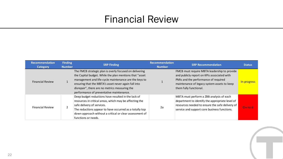#### Financial Review

| <b>Recommendation</b><br><b>Category</b> | <b>Finding</b><br><b>Number</b> | <b>SRP Finding</b>                                                                                                                                                                                                                                                                                                                | <b>Recommendation</b><br><b>Number</b> | <b>SRP Recommendation</b>                                                                                                                                                                                    | <b>Status</b> |
|------------------------------------------|---------------------------------|-----------------------------------------------------------------------------------------------------------------------------------------------------------------------------------------------------------------------------------------------------------------------------------------------------------------------------------|----------------------------------------|--------------------------------------------------------------------------------------------------------------------------------------------------------------------------------------------------------------|---------------|
| <b>Financial Review</b>                  |                                 | The FMCB strategic plan is overly focused on delivering<br>the Capital budget. While the plan mentions that "asset<br>management and life-cycle maintenance are the keys to<br>ensuring that the MBTA's asset never again fall into<br>disrepair", there are no metrics measuring the<br>performance of preventative maintenance. |                                        | FMCB must require MBTA leadership to provide<br>and publicly report on KPIs associated with<br>PMIs and the performance of required<br>maintenance of legacy system assets to keep<br>them fully functional. | In-progress   |
| <b>Financial Review</b>                  |                                 | Deep budget reductions have resulted in the lack of<br>resources in critical areas, which may be affecting the<br>safe delivery of services.<br>The reductions appear to have occurred as a totally top<br>down approach without a critical or clear assessment of<br>functions or needs.                                         | 2a                                     | MBTA must perform a ZBB analysis of each<br>department to identify the appropriate level of<br>resources needed to ensure the safe delivery of<br>service and support core business functions.               | On-hold       |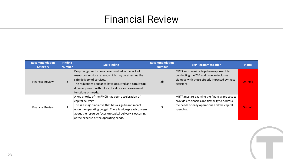#### Financial Review

| <b>Recommendation</b><br><b>Category</b> | <b>Finding</b><br><b>Number</b> | <b>SRP Finding</b>                                                                                                                                                                                                                                                                                    | <b>Recommendation</b><br><b>Number</b> | <b>SRP Recommendation</b>                                                                                                                                      | <b>Status</b> |
|------------------------------------------|---------------------------------|-------------------------------------------------------------------------------------------------------------------------------------------------------------------------------------------------------------------------------------------------------------------------------------------------------|----------------------------------------|----------------------------------------------------------------------------------------------------------------------------------------------------------------|---------------|
| <b>Financial Review</b>                  |                                 | Deep budget reductions have resulted in the lack of<br>resources in critical areas, which may be affecting the<br>safe delivery of services.<br>The reductions appear to have occurred as a totally top<br>down approach without a critical or clear assessment of<br>functions or needs.             | 2 <sub>b</sub>                         | MBTA must avoid a top down approach to<br>conducting the ZBB and have an inclusive<br>dialogue with those directly impacted by these<br>decisions.             | On-hold       |
| <b>Financial Review</b>                  | 3                               | A key priority of the FMCB has been acceleration of<br>capital delivery.<br>This is a major initiative that has a significant impact<br>upon the operating budget. There is widespread concern<br>about the resource focus on capital delivery is occurring<br>at the expense of the operating needs. | 3                                      | MBTA must re-examine the financial process to<br>provide efficiencies and flexibility to address<br>the needs of daily operations and the capital<br>spending. | On-hold       |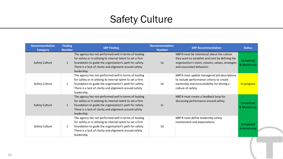| <b>Recommendation</b><br>Category | <b>Finding</b><br><b>Number</b> | <b>SRP Finding</b>                                                                                                                                                                                                                                        | <b>Recommendation</b><br><b>Number</b> | <b>SRP Recommendation</b>                                                                                                                                                         | <b>Status</b>             |
|-----------------------------------|---------------------------------|-----------------------------------------------------------------------------------------------------------------------------------------------------------------------------------------------------------------------------------------------------------|----------------------------------------|-----------------------------------------------------------------------------------------------------------------------------------------------------------------------------------|---------------------------|
| <b>Safety Culture</b>             | 1                               | The agency has not performed well in terms of leading<br>for safety or in utilizing its internal talent to set a firm<br>foundation to guide the organization's path for safety.<br>There is a lack of clarity and alignment around safety<br>leadership. | 1a                                     | MBTA must be intentional about the culture<br>they want to establish and start by defining the<br>organization's vision, mission, values, strategies<br>and associated behaviors. | Completed<br>& Monitoring |
| Safety Culture                    | 1                               | The agency has not performed well in terms of leading<br>for safety or in utilizing its internal talent to set a firm<br>foundation to guide the organization's path for safety.<br>There is a lack of clarity and alignment around safety<br>leadership. | 1 <sub>b</sub>                         | MBTA must update managerial job descriptions<br>to include performance criteria to create<br>ownership and accountability for driving a<br>culture of safety.                     | In-progress               |
| <b>Safety Culture</b>             | $\mathbf{1}$                    | The agency has not performed well in terms of leading<br>for safety or in utilizing its internal talent to set a firm<br>foundation to guide the organization's path for safety.<br>There is a lack of clarity and alignment around safety<br>leadership. | 1c                                     | MBTA must create a feedback loop for<br>discussing performance around safety.                                                                                                     | Completed<br>& Monitoring |
| Safety Culture                    | 1                               | The agency has not performed well in terms of leading<br>for safety or in utilizing its internal talent to set a firm<br>foundation to guide the organization's path for safety.<br>There is a lack of clarity and alignment around safety<br>leadership. | 1 <sub>d</sub>                         | MBTA must define leadership safety<br>involvement and expectations.                                                                                                               | Completed<br>& Monitoring |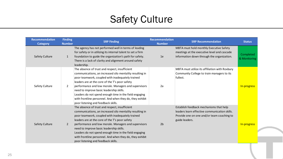| Recommendation<br><b>Category</b> | <b>Finding</b><br><b>Number</b> | <b>SRP Finding</b>                                                                                                                                                                                                                                                                                                                                                                                                                                                                | <b>Recommendation</b><br><b>Number</b> | <b>SRP Recommendation</b>                                                                                                                                | <b>Status</b>             |
|-----------------------------------|---------------------------------|-----------------------------------------------------------------------------------------------------------------------------------------------------------------------------------------------------------------------------------------------------------------------------------------------------------------------------------------------------------------------------------------------------------------------------------------------------------------------------------|----------------------------------------|----------------------------------------------------------------------------------------------------------------------------------------------------------|---------------------------|
| Safety Culture                    | $\mathbf{1}$                    | The agency has not performed well in terms of leading<br>for safety or in utilizing its internal talent to set a firm<br>foundation to guide the organization's path for safety.<br>There is a lack of clarity and alignment around safety<br>leadership.                                                                                                                                                                                                                         | 1e                                     | MBTA must hold monthly Executive Safety<br>meetings at the executive level and cascade<br>information down through the organization.                     | Completed<br>& Monitoring |
| Safety Culture                    | $\overline{2}$                  | The absence of trust and respect, insufficient<br>communications, an increased silo mentality resulting in<br>poor teamwork, coupled with inadequately trained<br>leaders are at the core of the T's poor safety<br>performance and low morale. Managers and supervisors<br>need to improve basic leadership skills.<br>Leaders do not spend enough time in the field engaging<br>with frontline personnel. And when they do, they exhibit<br>poor listening and feedback skills. | 2a                                     | MBTA must utilize its affiliation with Roxbury<br>Community College to train managers to its<br>fullest.                                                 | In-progress               |
| <b>Safety Culture</b>             | 2                               | The absence of trust and respect, insufficient<br>communications, an increased silo mentality resulting in<br>poor teamwork, coupled with inadequately trained<br>leaders are at the core of the T's poor safety<br>performance and low morale. Managers and supervisors<br>need to improve basic leadership skills.<br>Leaders do not spend enough time in the field engaging<br>with frontline personnel. And when they do, they exhibit<br>poor listening and feedback skills. | 2 <sub>b</sub>                         | Establish feedback mechanisms that help<br>leaders learn effective communication skills.<br>Provide one on one and/or team coaching to<br>guide leaders. | In-progress               |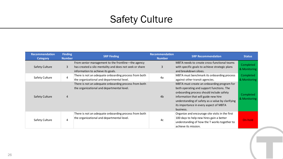| <b>Recommendation</b><br><b>Category</b> | <b>Finding</b><br><b>Number</b> | <b>SRP Finding</b>                                                                                                                                 | <b>Recommendation</b><br><b>Number</b> | <b>SRP Recommendation</b>                                                                                                                                                                                                                                                              | <b>Status</b>             |
|------------------------------------------|---------------------------------|----------------------------------------------------------------------------------------------------------------------------------------------------|----------------------------------------|----------------------------------------------------------------------------------------------------------------------------------------------------------------------------------------------------------------------------------------------------------------------------------------|---------------------------|
| Safety Culture                           | $\overline{3}$                  | From senior management to the frontline-the agency<br>has created a silo mentality and does not seek or share<br>information to achieve its goals. | 3                                      | MBTA needs to create cross-functional teams<br>with specific goals to achieve strategic plans<br>and breakdown siloes.                                                                                                                                                                 | Completed<br>& Monitoring |
| Safety Culture                           | 4                               | There is not an adequate onboarding process from both<br>the organizational and departmental level.                                                | 4a                                     | MBTA must benchmark its onboarding process<br>against other transit agencies.                                                                                                                                                                                                          | Completed<br>& Monitoring |
| Safety Culture                           | 4                               | There is not an adequate onboarding process from both<br>the organizational and departmental level.                                                | 4 <sub>b</sub>                         | MBTA must create an onboarding program for<br>both operating and support functions. The<br>onboarding process should include safety<br>information that will guide new hire<br>understanding of safety as a value by clarifying<br>its importance in every aspect of MBTA<br>business. | Completed<br>& Monitoring |
| Safety Culture                           | 4                               | There is not an adequate onboarding process from both<br>the organizational and departmental level.                                                | 4c                                     | Organize and encourage site visits in the first<br>100 days to help new hires gain a better<br>understanding of how the T works together to<br>achieve its mission.                                                                                                                    | On-hold                   |